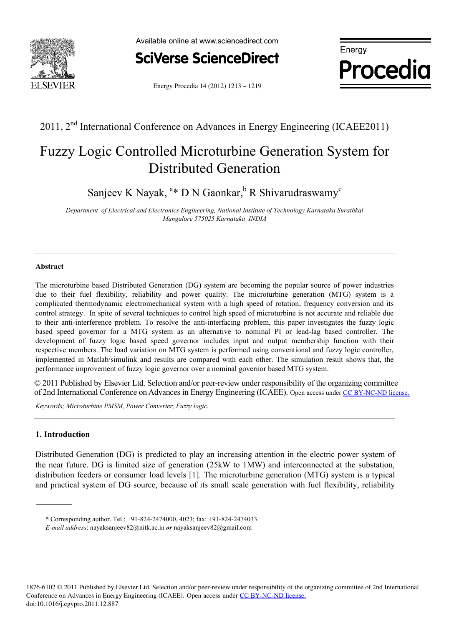



**Procedia**

Energy Procedia 14 (2012) 1213 - 1219

## 2011, 2nd International Conference on Advances in Energy Engineering (ICAEE2011)

# Fuzzy Logic Controlled Microturbine Generation System for Distributed Generation

Sanjeev K Nayak, <sup>a\*</sup> D N Gaonkar, <sup>b</sup> R Shivarudraswamy<sup>c</sup>

*Department of Electrical and Electronics Engineering, National Institute of Technology Karnataka Surathkal Mangalore 575025 Karnataka INDIA* 

#### **Abstract**

The microturbine based Distributed Generation (DG) system are becoming the popular source of power industries due to their fuel flexibility, reliability and power quality. The microturbine generation (MTG) system is a complicated thermodynamic electromechanical system with a high speed of rotation, frequency conversion and its control strategy. In spite of several techniques to control high speed of microturbine is not accurate and reliable due to their anti-interference problem. To resolve the anti-interfacing problem, this paper investigates the fuzzy logic based speed governor for a MTG system as an alternative to nominal PI or lead-lag based controller. The development of fuzzy logic based speed governor includes input and output membership function with their respective members. The load variation on MTG system is performed using conventional and fuzzy logic controller, implemented in Matlab/simulink and results are compared with each other. The simulation result shows that, the performance improvement of fuzzy logic governor over a nominal governor based MTG system.

 $\degree$  2011 Fublished by Elsevier Etd. Selection and/or peer-review under responsibility of the organizing commuted of 2nd International Conference on Advances in Energy Engineering (ICAEE). Open access under CC BY-NC-ND lic © 2011 Published by Elsevier Ltd. Selection and/or peer-review under responsibility of the organizing committee

*Keywords; Microturbine PMSM, Power Converter, Fuzzy logic.* 

### **1. Introduction**

Distributed Generation (DG) is predicted to play an increasing attention in the electric power system of the near future. DG is limited size of generation (25kW to 1MW) and interconnected at the substation, distribution feeders or consumer load levels [1]. The microturbine generation (MTG) system is a typical and practical system of DG source, because of its small scale generation with fuel flexibility, reliability

1876-6102 © 2011 Published by Elsevier Ltd. Selection and/or peer-review under responsibility of the organizing committee of 2nd International Conference on Advances in Energy Engineering (ICAEE). Open access under [CC BY-NC-ND license.](http://creativecommons.org/licenses/by-nc-nd/3.0/)doi:10.1016/j.egypro.2011.12.887

<sup>\*</sup> Corresponding author. Tel.: +91-824-2474000, 4023; fax: +91-824-2474033.

*E-mail address*: nayaksanjeev82@nitk.ac.in *or* nayaksanjeev82@gmail.com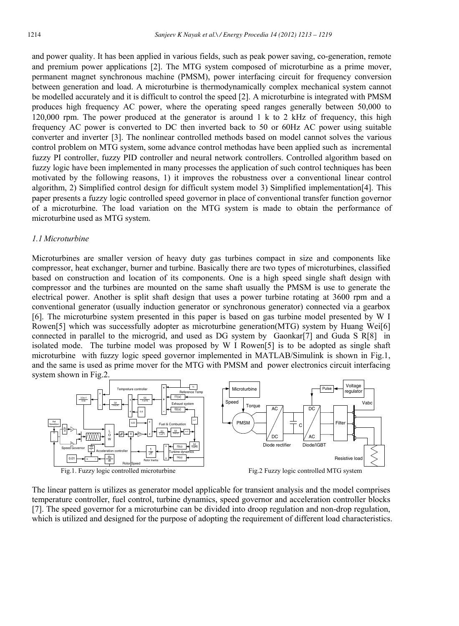and power quality. It has been applied in various fields, such as peak power saving, co-generation, remote and premium power applications [2]. The MTG system composed of microturbine as a prime mover, permanent magnet synchronous machine (PMSM), power interfacing circuit for frequency conversion between generation and load. A microturbine is thermodynamically complex mechanical system cannot be modelled accurately and it is difficult to control the speed [2]. A microturbine is integrated with PMSM produces high frequency AC power, where the operating speed ranges generally between 50,000 to 120,000 rpm. The power produced at the generator is around 1 k to 2 kHz of frequency, this high frequency AC power is converted to DC then inverted back to 50 or 60Hz AC power using suitable converter and inverter [3]. The nonlinear controlled methods based on model cannot solves the various control problem on MTG system, some advance control methodas have been applied such as incremental fuzzy PI controller, fuzzy PID controller and neural network controllers. Controlled algorithm based on fuzzy logic have been implemented in many processes the application of such control techniques has been motivated by the following reasons, 1) it improves the robustness over a conventional linear control algorithm, 2) Simplified control design for difficult system model 3) Simplified implementation[4]. This paper presents a fuzzy logic controlled speed governor in place of conventional transfer function governor of a microturbine. The load variation on the MTG system is made to obtain the performance of microturbine used as MTG system.

#### *1.1 Microturbine*

Microturbines are smaller version of heavy duty gas turbines compact in size and components like compressor, heat exchanger, burner and turbine. Basically there are two types of microturbines, classified based on construction and location of its components. One is a high speed single shaft design with compressor and the turbines are mounted on the same shaft usually the PMSM is use to generate the electrical power. Another is split shaft design that uses a power turbine rotating at 3600 rpm and a conventional generator (usually induction generator or synchronous generator) connected via a gearbox [6]. The microturbine system presented in this paper is based on gas turbine model presented by W I Rowen[5] which was successfully adopter as microturbine generation(MTG) system by Huang Wei[6] connected in parallel to the microgrid, and used as DG system by Gaonkar[7] and Guda S R[8] in isolated mode. The turbine model was proposed by W I Rowen[5] is to be adopted as single shaft microturbine with fuzzy logic speed governor implemented in MATLAB/Simulink is shown in Fig.1, and the same is used as prime mover for the MTG with PMSM and power electronics circuit interfacing system shown in Fig.2.



The linear pattern is utilizes as generator model applicable for transient analysis and the model comprises temperature controller, fuel control, turbine dynamics, speed governor and acceleration controller blocks [7]. The speed governor for a microturbine can be divided into droop regulation and non-drop regulation, which is utilized and designed for the purpose of adopting the requirement of different load characteristics.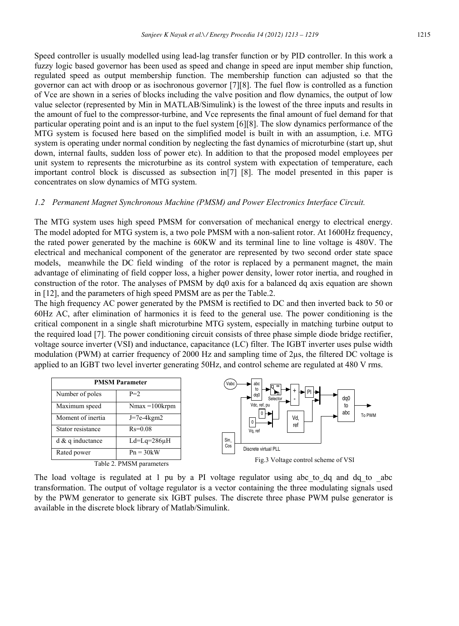Speed controller is usually modelled using lead-lag transfer function or by PID controller. In this work a fuzzy logic based governor has been used as speed and change in speed are input member ship function, regulated speed as output membership function. The membership function can adjusted so that the governor can act with droop or as isochronous governor [7][8]. The fuel flow is controlled as a function of Vce are shown in a series of blocks including the valve position and flow dynamics, the output of low value selector (represented by Min in MATLAB/Simulink) is the lowest of the three inputs and results in the amount of fuel to the compressor-turbine, and Vce represents the final amount of fuel demand for that particular operating point and is an input to the fuel system [6][8]. The slow dynamics performance of the MTG system is focused here based on the simplified model is built in with an assumption, i.e. MTG system is operating under normal condition by neglecting the fast dynamics of microturbine (start up, shut down, internal faults, sudden loss of power etc). In addition to that the proposed model employees per unit system to represents the microturbine as its control system with expectation of temperature, each important control block is discussed as subsection in[7] [8]. The model presented in this paper is concentrates on slow dynamics of MTG system.

#### *1.2 Permanent Magnet Synchronous Machine (PMSM) and Power Electronics Interface Circuit.*

The MTG system uses high speed PMSM for conversation of mechanical energy to electrical energy. The model adopted for MTG system is, a two pole PMSM with a non-salient rotor. At 1600Hz frequency, the rated power generated by the machine is 60KW and its terminal line to line voltage is 480V. The electrical and mechanical component of the generator are represented by two second order state space models, meanwhile the DC field winding of the rotor is replaced by a permanent magnet, the main advantage of eliminating of field copper loss, a higher power density, lower rotor inertia, and roughed in construction of the rotor. The analyses of PMSM by dq0 axis for a balanced dq axis equation are shown in [12], and the parameters of high speed PMSM are as per the Table.2.

The high frequency AC power generated by the PMSM is rectified to DC and then inverted back to 50 or 60Hz AC, after elimination of harmonics it is feed to the general use. The power conditioning is the critical component in a single shaft microturbine MTG system, especially in matching turbine output to the required load [7]. The power conditioning circuit consists of three phase simple diode bridge rectifier, voltage source inverter (VSI) and inductance, capacitance (LC) filter. The IGBT inverter uses pulse width modulation (PWM) at carrier frequency of 2000 Hz and sampling time of 2 $\mu$ s, the filtered DC voltage is applied to an IGBT two level inverter generating 50Hz, and control scheme are regulated at 480 V rms.



The load voltage is regulated at 1 pu by a PI voltage regulator using abc to dq and dq to abc transformation. The output of voltage regulator is a vector containing the three modulating signals used by the PWM generator to generate six IGBT pulses. The discrete three phase PWM pulse generator is available in the discrete block library of Matlab/Simulink.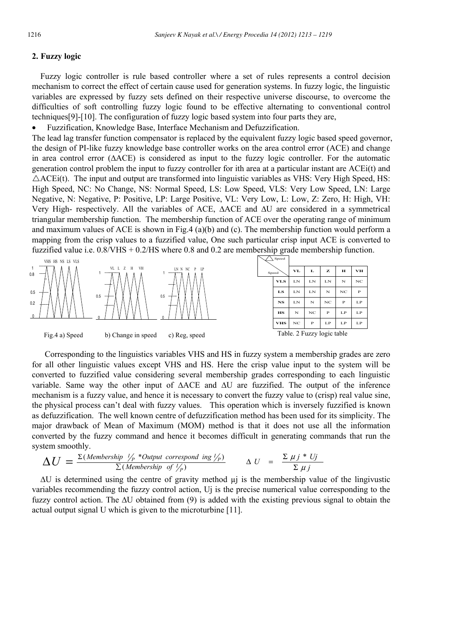#### **2. Fuzzy logic**

Fuzzy logic controller is rule based controller where a set of rules represents a control decision mechanism to correct the effect of certain cause used for generation systems. In fuzzy logic, the linguistic variables are expressed by fuzzy sets defined on their respective universe discourse, to overcome the difficulties of soft controlling fuzzy logic found to be effective alternating to conventional control techniques[9]-[10]. The configuration of fuzzy logic based system into four parts they are,

• Fuzzification, Knowledge Base, Interface Mechanism and Defuzzification.

The lead lag transfer function compensator is replaced by the equivalent fuzzy logic based speed governor, the design of PI-like fuzzy knowledge base controller works on the area control error (ACE) and change in area control error (∆ACE) is considered as input to the fuzzy logic controller. For the automatic generation control problem the input to fuzzy controller for ith area at a particular instant are ACEi(t) and  $\triangle$ ACEi(t). The input and output are transformed into linguistic variables as VHS: Very High Speed, HS: High Speed, NC: No Change, NS: Normal Speed, LS: Low Speed, VLS: Very Low Speed, LN: Large Negative, N: Negative, P: Positive, LP: Large Positive, VL: Very Low, L: Low, Z: Zero, H: High, VH: Very High- respectively. All the variables of ACE, ∆ACE and ∆U are considered in a symmetrical triangular membership function. The membership function of ACE over the operating range of minimum and maximum values of ACE is shown in Fig.4 (a)(b) and (c). The membership function would perform a mapping from the crisp values to a fuzzified value, One such particular crisp input ACE is converted to fuzzified value i.e. 0.8/VHS + 0.2/HS where 0.8 and 0.2 are membership grade membership function.



 Corresponding to the linguistics variables VHS and HS in fuzzy system a membership grades are zero for all other linguistic values except VHS and HS. Here the crisp value input to the system will be converted to fuzzified value considering several membership grades corresponding to each linguistic variable. Same way the other input of ∆ACE and ∆U are fuzzified. The output of the inference mechanism is a fuzzy value, and hence it is necessary to convert the fuzzy value to (crisp) real value sine, the physical process can't deal with fuzzy values. This operation which is inversely fuzzified is known as defuzzification. The well known centre of defuzzification method has been used for its simplicity. The major drawback of Mean of Maximum (MOM) method is that it does not use all the information converted by the fuzzy command and hence it becomes difficult in generating commands that run the system smoothly.

$$
\Delta U = \frac{\Sigma (Membership V_p * Output \text{ correspond ing } V_p)}{\Sigma (Membership \text{ of } V_p)} \qquad \Delta U = \frac{\Sigma \mu j * U_j}{\Sigma \mu j}
$$

 $\Delta U$  is determined using the centre of gravity method  $\mu$  is the membership value of the lingivustic variables recommending the fuzzy control action, Uj is the precise numerical value corresponding to the fuzzy control action. The ∆U obtained from (9) is added with the existing previous signal to obtain the actual output signal U which is given to the microturbine [11].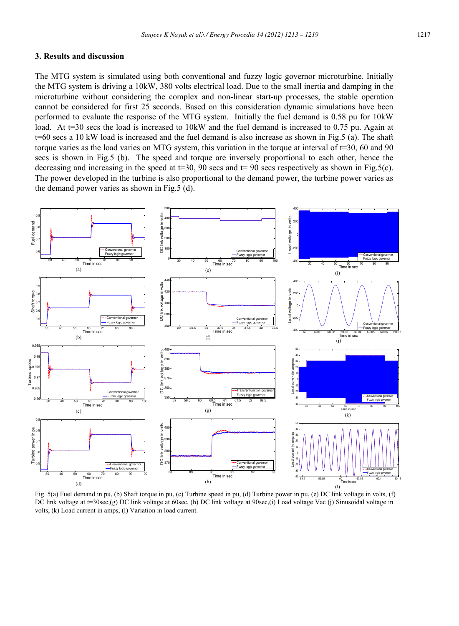#### **3. Results and discussion**

The MTG system is simulated using both conventional and fuzzy logic governor microturbine. Initially the MTG system is driving a 10kW, 380 volts electrical load. Due to the small inertia and damping in the microturbine without considering the complex and non-linear start-up processes, the stable operation cannot be considered for first 25 seconds. Based on this consideration dynamic simulations have been performed to evaluate the response of the MTG system. Initially the fuel demand is 0.58 pu for 10kW load. At t=30 secs the load is increased to 10kW and the fuel demand is increased to 0.75 pu. Again at t=60 secs a 10 kW load is increased and the fuel demand is also increase as shown in Fig.5 (a). The shaft torque varies as the load varies on MTG system, this variation in the torque at interval of t=30, 60 and 90 secs is shown in Fig.5 (b). The speed and torque are inversely proportional to each other, hence the decreasing and increasing in the speed at  $t=30$ , 90 secs and  $t=90$  secs respectively as shown in Fig.5(c). The power developed in the turbine is also proportional to the demand power, the turbine power varies as the demand power varies as shown in Fig.5 (d).



Fig. 5(a) Fuel demand in pu, (b) Shaft torque in pu, (c) Turbine speed in pu, (d) Turbine power in pu, (e) DC link voltage in volts, (f) DC link voltage at t=30sec,(g) DC link voltage at 60sec, (h) DC link voltage at 90sec,(i) Load voltage Vac (j) Sinusoidal voltage in volts, (k) Load current in amps, (l) Variation in load current.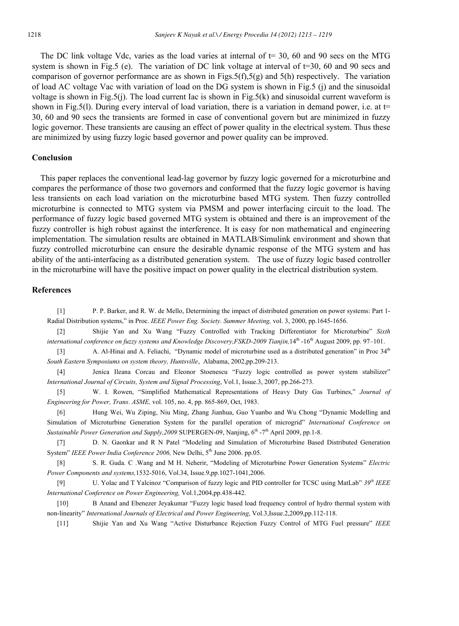The DC link voltage Vdc, varies as the load varies at internal of  $t = 30$ , 60 and 90 secs on the MTG system is shown in Fig.5 (e). The variation of DC link voltage at interval of t=30, 60 and 90 secs and comparison of governor performance are as shown in Figs.5(f),5(g) and 5(h) respectively. The variation of load AC voltage Vac with variation of load on the DG system is shown in Fig.5 (j) and the sinusoidal voltage is shown in Fig.5(j). The load current Iac is shown in Fig.5(k) and sinusoidal current waveform is shown in Fig.5(l). During every interval of load variation, there is a variation in demand power, i.e. at  $t=$ 30, 60 and 90 secs the transients are formed in case of conventional govern but are minimized in fuzzy logic governor. These transients are causing an effect of power quality in the electrical system. Thus these are minimized by using fuzzy logic based governor and power quality can be improved.

#### **Conclusion**

This paper replaces the conventional lead-lag governor by fuzzy logic governed for a microturbine and compares the performance of those two governors and conformed that the fuzzy logic governor is having less transients on each load variation on the microturbine based MTG system. Then fuzzy controlled microturbine is connected to MTG system via PMSM and power interfacing circuit to the load. The performance of fuzzy logic based governed MTG system is obtained and there is an improvement of the fuzzy controller is high robust against the interference. It is easy for non mathematical and engineering implementation. The simulation results are obtained in MATLAB/Simulink environment and shown that fuzzy controlled microturbine can ensure the desirable dynamic response of the MTG system and has ability of the anti-interfacing as a distributed generation system. The use of fuzzy logic based controller in the microturbine will have the positive impact on power quality in the electrical distribution system.

#### **References**

[1] P. P. Barker, and R. W. de Mello, Determining the impact of distributed generation on power systems: Part 1- Radial Distribution systems," in Proc. *IEEE Power Eng. Society. Summer Meeting,* vol. 3, 2000, pp.1645-1656.

[2] Shijie Yan and Xu Wang "Fuzzy Controlled with Tracking Differentiator for Microturbine" *Sixth international conference on fuzzy systems and Knowledge Discovery,FSKD-2009 Tianjin*, 14<sup>th</sup> -16<sup>th</sup> August 2009, pp. 97–101.

[3] A. Al-Hinai and A. Feliachi, "Dynamic model of microturbine used as a distributed generation" in Proc 34<sup>th</sup> *South Eastern Symposiums on system theory, Huntsville*, Alabama, 2002,pp.209-213.

[4] Jenica Ileana Corcau and Eleonor Stoenescu "Fuzzy logic controlled as power system stabilizer" *International Journal of Circuits, System and Signal Processing*, Vol.1, Issue.3, 2007, pp.266-273.

[5] W. I. Rowen, "Simplified Mathematical Representations of Heavy Duty Gas Turbines," *Journal of Engineering for Power, Trans. ASME,* vol. 105, no. 4, pp. 865-869, Oct, 1983.

[6] Hung Wei, Wu Ziping, Niu Ming, Zhang Jianhua, Guo Yuanbo and Wu Chong "Dynamic Modelling and Simulation of Microturbine Generation System for the parallel operation of microgrid" *International Conference on Sustainable Power Generation and Supply, 2009* SUPERGEN-09, Nanjing, 6<sup>th</sup> -7<sup>th</sup> April 2009, pp.1-8.

[7] D. N. Gaonkar and R N Patel "Modeling and Simulation of Microturbine Based Distributed Generation System" *IEEE Power India Conference 2006*, New Delhi, 5<sup>th</sup> June 2006. pp.05.

[8] S. R. Guda. C .Wang and M H. Neherir, "Modeling of Microturbine Power Generation Systems" *Electric Power Components and systems,*1532-5016, Vol.34, Issue.9,pp.1027-1041,2006.

[9] U. Yolac and T Yalcinoz "Comparison of fuzzy logic and PID controller for TCSC using MatLab" *39th IEEE International Conference on Power Engineering,* Vol.1,2004,pp.438-442.

[10] B Anand and Ebenezer Jeyakumar "Fuzzy logic based load frequency control of hydro thermal system with non-linearity" *International Journals of Electrical and Power Engineering*, Vol.3,Issue.2,2009,pp.112-118.

[11] Shijie Yan and Xu Wang "Active Disturbance Rejection Fuzzy Control of MTG Fuel pressure" *IEEE*